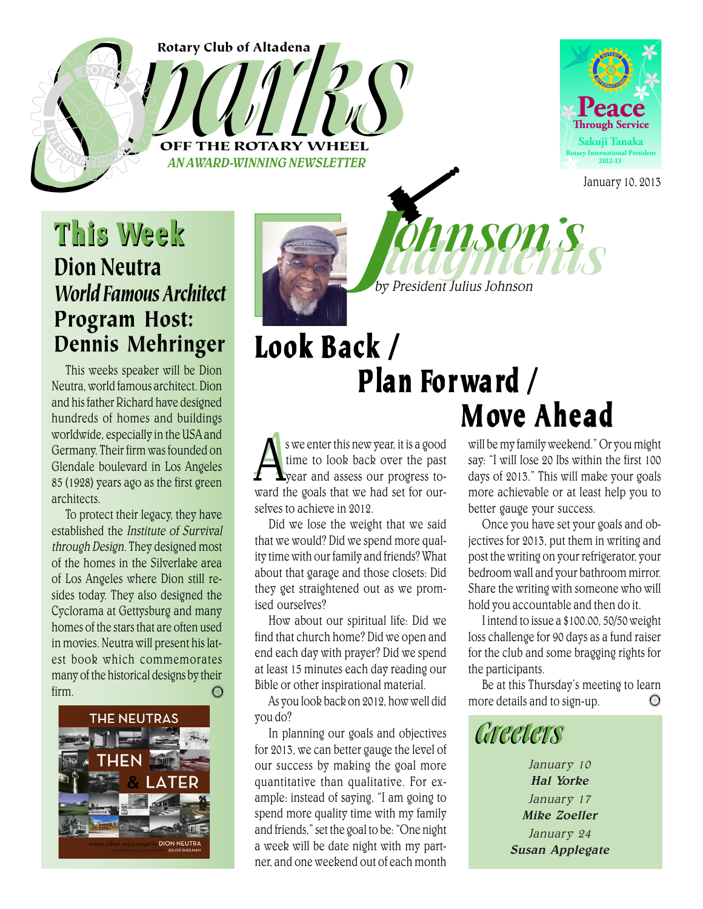#### Rotary Club of Altadena

Rotary Club of Altadena<br>Department Rotary WHEEL AN AWARD-WINNING NEWSLETTER



January 10, 2013

# STRATEGIES AND This Week Dion Neutra Victoria et al. 1999 *World Famous Architect* Program Host: Dennis Mehringer

This weeks speaker will be Dion Neutra, world famous architect. Dion and his father Richard have designed hundreds of homes and buildings worldwide, especially in the USA and Germany. Their firm was founded on Glendale boulevard in Los Angeles 85 (1928) years ago as the first green architects.

To protect their legacy, they have established the Institute of Survival through Design. They designed most of the homes in the Silverlake area of Los Angeles where Dion still resides today. They also designed the Cyclorama at Gettysburg and many homes of the stars that are often used in movies. Neutra will present his latest book which commemorates many of the historical designs by their firm.  $\mathbb{C}$ 





John President Julius Johnson

ohnson's

# Look Back / Plan Forward / M ove Ahead

 $\mathbf{A}^{\mathrm{sv}}$ we enter this new year, it is a good<br>time to look back over the past<br>year and assess our progress to-<br>ward the goals that we had set for ours we enter this new year, it is a good time to look back over the past year and assess our progress toselves to achieve in 2012.

Did we lose the weight that we said that we would? Did we spend more quality time with our family and friends? What about that garage and those closets: Did they get straightened out as we promised ourselves?

How about our spiritual life: Did we find that church home? Did we open and end each day with prayer? Did we spend at least 15 minutes each day reading our Bible or other inspirational material.

As you look back on 2012, how well did you do?

In planning our goals and objectives for 2013, we can better gauge the level of our success by making the goal more quantitative than qualitative. For example: instead of saying, "I am going to spend more quality time with my family and friends," set the goal to be: "One night a week will be date night with my partner, and one weekend out of each month

will be my family weekend." Or you might say: "I will lose 20 lbs within the first 100 days of 2013." This will make your goals more achievable or at least help you to better gauge your success.

Once you have set your goals and objectives for 2013, put them in writing and post the writing on your refrigerator, your bedroom wall and your bathroom mirror. Share the writing with someone who will hold you accountable and then do it.

I intend to issue a \$100.00, 50/50 weight loss challenge for 90 days as a fund raiser for the club and some bragging rights for the participants.

Be at this Thursday's meeting to learn more details and to sign-up. $\bigcirc$ 



January 10 Hal Yorke January 17 Mike Zoeller January 24 Susan Applegate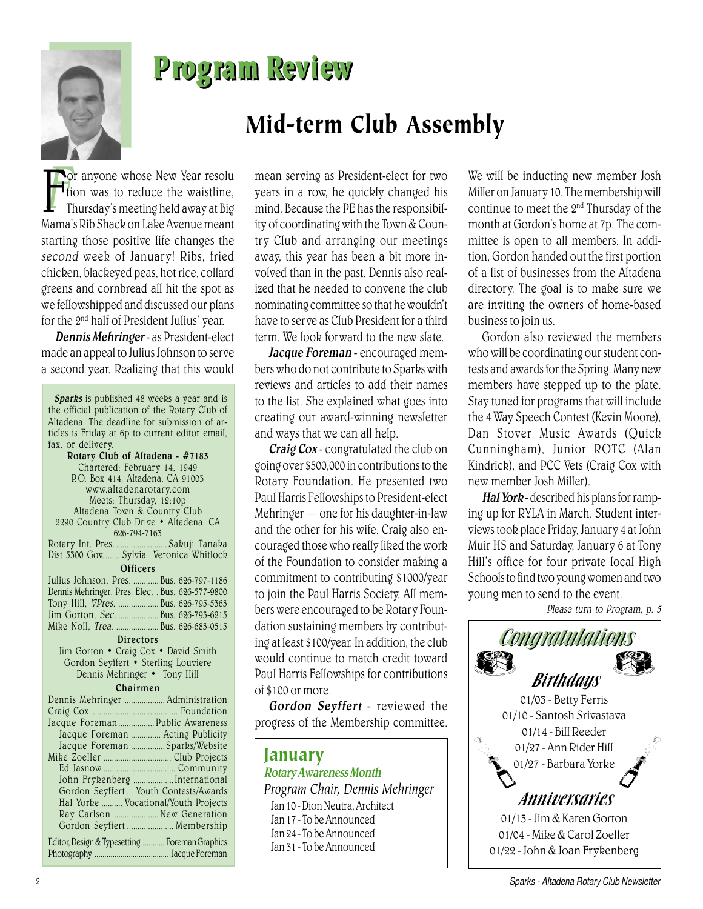

## Program Review

### Mid-term Club Assembly

For anyone whose New Year resolution<br>film was to reduce the waistline,<br>Thursday's meeting held away at Big<br>Mama's Dib Shash on Labe Aranya maant tion was to reduce the waistline, Thursday's meeting held away at Big Mama's Rib Shack on Lake Avenue meant starting those positive life changes the second week of January! Ribs, fried chicken, blackeyed peas, hot rice, collard greens and cornbread all hit the spot as we fellowshipped and discussed our plans for the 2nd half of President Julius' year.

Dennis Mehringer - as President-elect made an appeal to Julius Johnson to serve a second year. Realizing that this would

| Sparks is published 48 weeks a year and is<br>the official publication of the Rotary Club of<br>Altadena. The deadline for submission of ar-<br>ticles is Friday at 6p to current editor email,<br>fax, or delivery.<br>Rotary Club of Altadena - #7183<br>Chartered: February 14, 1949<br>P.O. Box 414, Altadena, CA 91003<br>www.altadenarotary.com<br>Meets: Thursday, 12:10p<br>Altadena Town & Country Club<br>2290 Country Club Drive · Altadena, CA<br>626-794-7163 |
|----------------------------------------------------------------------------------------------------------------------------------------------------------------------------------------------------------------------------------------------------------------------------------------------------------------------------------------------------------------------------------------------------------------------------------------------------------------------------|
|                                                                                                                                                                                                                                                                                                                                                                                                                                                                            |
| Rotary Int. Pres.  Sakuji Tanaka<br>Dist 5300 Gov.  Sylvia Veronica Whitlock                                                                                                                                                                                                                                                                                                                                                                                               |
| <b>Officers</b>                                                                                                                                                                                                                                                                                                                                                                                                                                                            |
| Julius Johnson, Pres.  Bus. 626-797-1186                                                                                                                                                                                                                                                                                                                                                                                                                                   |
|                                                                                                                                                                                                                                                                                                                                                                                                                                                                            |
| Dennis Mehringer, Pres. Elec. . Bus. 626-577-9800                                                                                                                                                                                                                                                                                                                                                                                                                          |
| Tony Hill, VPres.  Bus. 626-795-5363                                                                                                                                                                                                                                                                                                                                                                                                                                       |
| Jim Gorton, Sec.  Bus. 626-793-6215                                                                                                                                                                                                                                                                                                                                                                                                                                        |
| Mike Noll, Trea.  Bus. 626-683-0515                                                                                                                                                                                                                                                                                                                                                                                                                                        |
| <b>Directors</b>                                                                                                                                                                                                                                                                                                                                                                                                                                                           |
| Jim Gorton . Craig Cox . David Smith                                                                                                                                                                                                                                                                                                                                                                                                                                       |
| Gordon Seyffert · Sterling Louviere                                                                                                                                                                                                                                                                                                                                                                                                                                        |
|                                                                                                                                                                                                                                                                                                                                                                                                                                                                            |
| Dennis Mehringer • Tony Hill                                                                                                                                                                                                                                                                                                                                                                                                                                               |
| Chairmen                                                                                                                                                                                                                                                                                                                                                                                                                                                                   |
| Dennis Mehringer  Administration                                                                                                                                                                                                                                                                                                                                                                                                                                           |
|                                                                                                                                                                                                                                                                                                                                                                                                                                                                            |
| Jacque Foreman  Public Awareness                                                                                                                                                                                                                                                                                                                                                                                                                                           |
| Jacque Foreman  Acting Publicity                                                                                                                                                                                                                                                                                                                                                                                                                                           |
| Jacque Foreman Sparks/Website                                                                                                                                                                                                                                                                                                                                                                                                                                              |
|                                                                                                                                                                                                                                                                                                                                                                                                                                                                            |
|                                                                                                                                                                                                                                                                                                                                                                                                                                                                            |
|                                                                                                                                                                                                                                                                                                                                                                                                                                                                            |
| John Frykenberg  International                                                                                                                                                                                                                                                                                                                                                                                                                                             |
| Gordon Seyffert  Youth Contests/Awards                                                                                                                                                                                                                                                                                                                                                                                                                                     |
| Hal Yorke  Vocational/Youth Projects                                                                                                                                                                                                                                                                                                                                                                                                                                       |
| Ray Carlson  New Generation                                                                                                                                                                                                                                                                                                                                                                                                                                                |
| Gordon Seyffert  Membership                                                                                                                                                                                                                                                                                                                                                                                                                                                |
|                                                                                                                                                                                                                                                                                                                                                                                                                                                                            |
| Editor, Design & Typesetting  Foreman Graphics                                                                                                                                                                                                                                                                                                                                                                                                                             |
|                                                                                                                                                                                                                                                                                                                                                                                                                                                                            |
|                                                                                                                                                                                                                                                                                                                                                                                                                                                                            |

mean serving as President-elect for two years in a row, he quickly changed his mind. Because the PE has the responsibility of coordinating with the Town & Country Club and arranging our meetings away, this year has been a bit more involved than in the past. Dennis also realized that he needed to convene the club nominating committee so that he wouldn't have to serve as Club President for a third term. We look forward to the new slate.

Jacque Foreman - encouraged members who do not contribute to Sparks with reviews and articles to add their names to the list. She explained what goes into creating our award-winning newsletter and ways that we can all help.

Craig Cox - congratulated the club on going over \$500,000 in contributions to the Rotary Foundation. He presented two Paul Harris Fellowships to President-elect Mehringer — one for his daughter-in-law and the other for his wife. Craig also encouraged those who really liked the work of the Foundation to consider making a commitment to contributing \$1000/year to join the Paul Harris Society. All members were encouraged to be Rotary Foundation sustaining members by contributing at least \$100/year. In addition, the club would continue to match credit toward Paul Harris Fellowships for contributions of \$100 or more.

Gordon Seyffert - reviewed the progress of the Membership committee.

### January Rotary Awareness Month *Program Chair, Dennis Mehringer* Jan 10 - Dion Neutra, Architect Jan 17 - To be Announced Jan 24 - To be Announced Jan 31 - To be Announced

We will be inducting new member Josh Miller on January 10. The membership will continue to meet the 2nd Thursday of the month at Gordon's home at 7p. The committee is open to all members. In addition, Gordon handed out the first portion of a list of businesses from the Altadena directory. The goal is to make sure we are inviting the owners of home-based business to join us.

Gordon also reviewed the members who will be coordinating our student contests and awards for the Spring. Many new members have stepped up to the plate. Stay tuned for programs that will include the 4 Way Speech Contest (Kevin Moore), Dan Stover Music Awards (Quick Cunningham), Junior ROTC (Alan Kindrick), and PCC Vets (Craig Cox with new member Josh Miller).

Hal York - described his plans for ramping up for RYLA in March. Student interviews took place Friday, January 4 at John Muir HS and Saturday, January 6 at Tony Hill's office for four private local High Schools to find two young women and two young men to send to the event.

Please turn to Program, p. 5

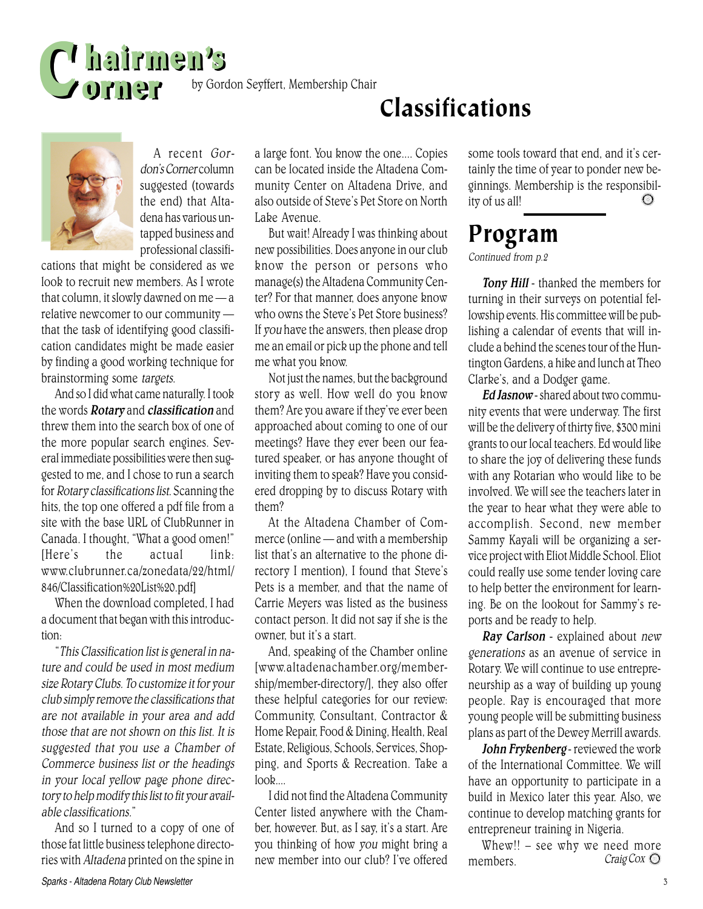

by Gordon Seyffert, Membership Chair

A recent Gordon's Corner column suggested (towards) the end) that Altadena has various untapped business and professional classifi-

cations that might be considered as we look to recruit new members. As I wrote that column, it slowly dawned on me — a relative newcomer to our community that the task of identifying good classification candidates might be made easier by finding a good working technique for brainstorming some targets.

And so I did what came naturally. I took the words **Rotary** and **classification** and threw them into the search box of one of the more popular search engines. Several immediate possibilities were then suggested to me, and I chose to run a search for Rotary classifications list. Scanning the hits, the top one offered a pdf file from a site with the base URL of ClubRunner in Canada. I thought, "What a good omen!" [Here's the actual link: www.clubrunner.ca/zonedata/22/html/ 846/Classification%20List%20.pdf]

When the download completed, I had a document that began with this introduction:

"This Classification list is general in nature and could be used in most medium size Rotary Clubs. To customize it for your club simply remove the classifications that are not available in your area and add those that are not shown on this list. It is suggested that you use a Chamber of Commerce business list or the headings in your local yellow page phone directory to help modify this list to fit your available classifications."

those fat little business telephone directo-And so I turned to a copy of one of ries with Altadena printed on the spine in

a large font. You know the one.... Copies can be located inside the Altadena Community Center on Altadena Drive, and also outside of Steve's Pet Store on North Lake Avenue.

But wait! Already I was thinking about new possibilities. Does anyone in our club know the person or persons who manage(s) the Altadena Community Center? For that manner, does anyone know who owns the Steve's Pet Store business? If you have the answers, then please drop me an email or pick up the phone and tell me what you know.

Not just the names, but the background story as well. How well do you know them? Are you aware if they've ever been approached about coming to one of our meetings? Have they ever been our featured speaker, or has anyone thought of inviting them to speak? Have you considered dropping by to discuss Rotary with them?

At the Altadena Chamber of Commerce (online — and with a membership list that's an alternative to the phone directory I mention), I found that Steve's Pets is a member, and that the name of Carrie Meyers was listed as the business contact person. It did not say if she is the owner, but it's a start.

And, speaking of the Chamber online [www.altadenachamber.org/membership/member-directory/], they also offer these helpful categories for our review: Community, Consultant, Contractor & Home Repair, Food & Dining, Health, Real Estate, Religious, Schools, Services, Shopping, and Sports & Recreation. Take a  $look$ ....

I did not find the Altadena Community Center listed anywhere with the Chamber, however. But, as I say, it's a start. Are you thinking of how you might bring a new member into our club? I've offered some tools toward that end, and it's certainly the time of year to ponder new beginnings. Membership is the responsibility of us all!

### Program

#### Continued from p.2

Classifications

Tony Hill - thanked the members for turning in their surveys on potential fellowship events. His committee will be publishing a calendar of events that will include a behind the scenes tour of the Huntington Gardens, a hike and lunch at Theo Clarke's, and a Dodger game.

Ed Jasnow - shared about two community events that were underway. The first will be the delivery of thirty five, \$300 mini grants to our local teachers. Ed would like to share the joy of delivering these funds with any Rotarian who would like to be involved. We will see the teachers later in the year to hear what they were able to accomplish. Second, new member Sammy Kayali will be organizing a service project with Eliot Middle School. Eliot could really use some tender loving care to help better the environment for learning. Be on the lookout for Sammy's reports and be ready to help.

Ray Carlson - explained about new generations as an avenue of service in Rotary. We will continue to use entrepreneurship as a way of building up young people. Ray is encouraged that more young people will be submitting business plans as part of the Dewey Merrill awards.

John Frykenberg - reviewed the work of the International Committee. We will have an opportunity to participate in a build in Mexico later this year. Also, we continue to develop matching grants for entrepreneur training in Nigeria.

Craig Cox  $\bigcirc$ Whew!! – see why we need more members.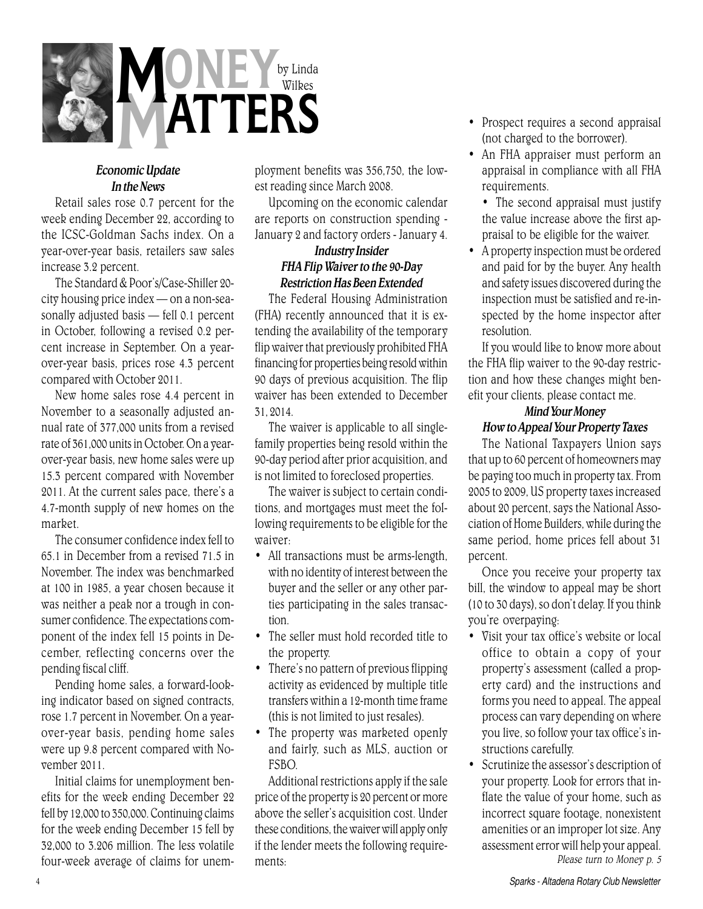

### Economic Update In the News

Retail sales rose 0.7 percent for the week ending December 22, according to the ICSC-Goldman Sachs index. On a year-over-year basis, retailers saw sales increase 3.2 percent.

The Standard & Poor's/Case-Shiller 20 city housing price index — on a non-seasonally adjusted basis — fell 0.1 percent in October, following a revised 0.2 percent increase in September. On a yearover-year basis, prices rose 4.3 percent compared with October 2011.

New home sales rose 4.4 percent in November to a seasonally adjusted annual rate of 377,000 units from a revised rate of 361,000 units in October. On a yearover-year basis, new home sales were up 15.3 percent compared with November 2011. At the current sales pace, there's a 4.7-month supply of new homes on the market.

The consumer confidence index fell to 65.1 in December from a revised 71.5 in November. The index was benchmarked at 100 in 1985, a year chosen because it was neither a peak nor a trough in consumer confidence. The expectations component of the index fell 15 points in December, reflecting concerns over the pending fiscal cliff.

Pending home sales, a forward-looking indicator based on signed contracts, rose 1.7 percent in November. On a yearover-year basis, pending home sales were up 9.8 percent compared with November 2011.

Initial claims for unemployment benefits for the week ending December 22 fell by 12,000 to 350,000. Continuing claims for the week ending December 15 fell by 32,000 to 3.206 million. The less volatile four-week average of claims for unem-

ployment benefits was 356,750, the lowest reading since March 2008.

Upcoming on the economic calendar are reports on construction spending - January 2 and factory orders - January 4.

### Industry Insider FHA Flip Waiver to the 90-Day Restriction Has Been Extended

The Federal Housing Administration (FHA) recently announced that it is extending the availability of the temporary flip waiver that previously prohibited FHA financing for properties being resold within 90 days of previous acquisition. The flip waiver has been extended to December 31, 2014.

The waiver is applicable to all singlefamily properties being resold within the 90-day period after prior acquisition, and is not limited to foreclosed properties.

The waiver is subject to certain conditions, and mortgages must meet the following requirements to be eligible for the waiver:

- All transactions must be arms-length, with no identity of interest between the buyer and the seller or any other parties participating in the sales transaction.
- The seller must hold recorded title to the property.
- There's no pattern of previous flipping activity as evidenced by multiple title transfers within a 12-month time frame (this is not limited to just resales).
- The property was marketed openly and fairly, such as MLS, auction or FSBO.

Additional restrictions apply if the sale price of the property is 20 percent or more above the seller's acquisition cost. Under these conditions, the waiver will apply only if the lender meets the following requirements:

- Prospect requires a second appraisal (not charged to the borrower).
- An FHA appraiser must perform an appraisal in compliance with all FHA requirements.

• The second appraisal must justify the value increase above the first appraisal to be eligible for the waiver.

• A property inspection must be ordered and paid for by the buyer. Any health and safety issues discovered during the inspection must be satisfied and re-inspected by the home inspector after resolution.

If you would like to know more about the FHA flip waiver to the 90-day restriction and how these changes might benefit your clients, please contact me.

### Mind Your Money How to Appeal Your Property Taxes

The National Taxpayers Union says that up to 60 percent of homeowners may be paying too much in property tax. From 2005 to 2009, US property taxes increased about 20 percent, says the National Association of Home Builders, while during the same period, home prices fell about 31 percent.

Once you receive your property tax bill, the window to appeal may be short (10 to 30 days), so don't delay. If you think you're overpaying:

- Visit your tax office's website or local office to obtain a copy of your property's assessment (called a property card) and the instructions and forms you need to appeal. The appeal process can vary depending on where you live, so follow your tax office's instructions carefully.
- Scrutinize the assessor's description of your property. Look for errors that inflate the value of your home, such as incorrect square footage, nonexistent amenities or an improper lot size. Any assessment error will help your appeal. Please turn to Money p. 5